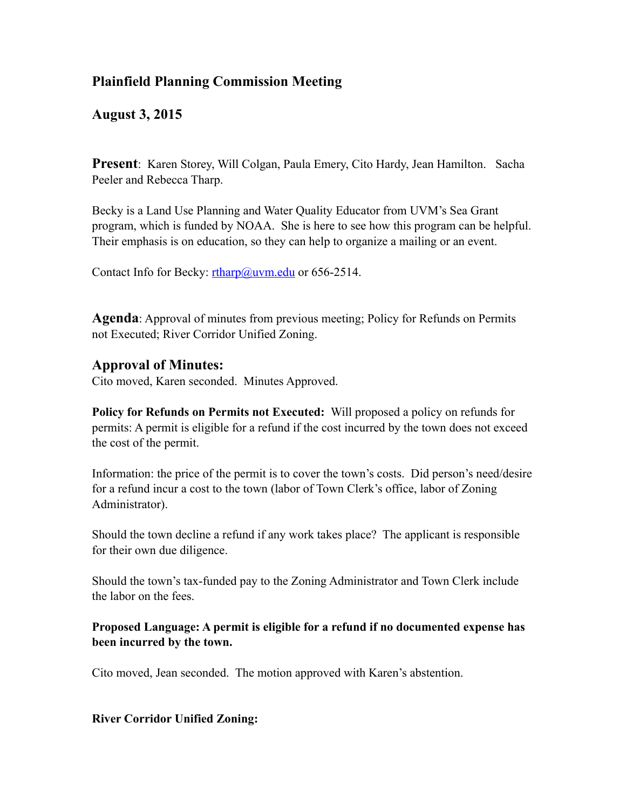## **Plainfield Planning Commission Meeting**

## **August 3, 2015**

**Present**: Karen Storey, Will Colgan, Paula Emery, Cito Hardy, Jean Hamilton. Sacha Peeler and Rebecca Tharp.

Becky is a Land Use Planning and Water Quality Educator from UVM's Sea Grant program, which is funded by NOAA. She is here to see how this program can be helpful. Their emphasis is on education, so they can help to organize a mailing or an event.

Contact Info for Becky: [rtharp@uvm.edu](mailto:rtharp@uvm.edu) or 656-2514.

**Agenda**: Approval of minutes from previous meeting; Policy for Refunds on Permits not Executed; River Corridor Unified Zoning.

## **Approval of Minutes:**

Cito moved, Karen seconded. Minutes Approved.

**Policy for Refunds on Permits not Executed:** Will proposed a policy on refunds for permits: A permit is eligible for a refund if the cost incurred by the town does not exceed the cost of the permit.

Information: the price of the permit is to cover the town's costs. Did person's need/desire for a refund incur a cost to the town (labor of Town Clerk's office, labor of Zoning Administrator).

Should the town decline a refund if any work takes place? The applicant is responsible for their own due diligence.

Should the town's tax-funded pay to the Zoning Administrator and Town Clerk include the labor on the fees.

**Proposed Language: A permit is eligible for a refund if no documented expense has been incurred by the town.** 

Cito moved, Jean seconded. The motion approved with Karen's abstention.

**River Corridor Unified Zoning:**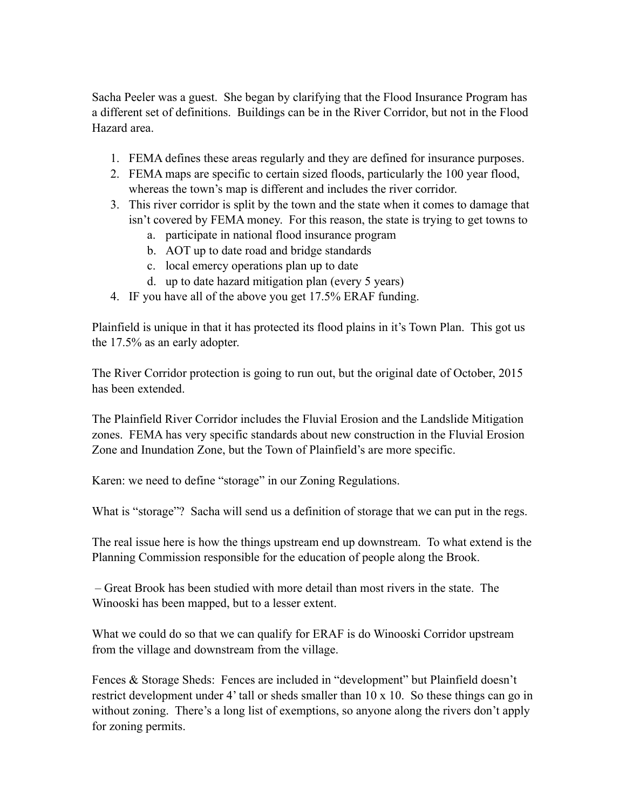Sacha Peeler was a guest. She began by clarifying that the Flood Insurance Program has a different set of definitions. Buildings can be in the River Corridor, but not in the Flood Hazard area.

- 1. FEMA defines these areas regularly and they are defined for insurance purposes.
- 2. FEMA maps are specific to certain sized floods, particularly the 100 year flood, whereas the town's map is different and includes the river corridor.
- 3. This river corridor is split by the town and the state when it comes to damage that isn't covered by FEMA money. For this reason, the state is trying to get towns to
	- a. participate in national flood insurance program
	- b. AOT up to date road and bridge standards
	- c. local emercy operations plan up to date
	- d. up to date hazard mitigation plan (every 5 years)
- 4. IF you have all of the above you get 17.5% ERAF funding.

Plainfield is unique in that it has protected its flood plains in it's Town Plan. This got us the 17.5% as an early adopter.

The River Corridor protection is going to run out, but the original date of October, 2015 has been extended.

The Plainfield River Corridor includes the Fluvial Erosion and the Landslide Mitigation zones. FEMA has very specific standards about new construction in the Fluvial Erosion Zone and Inundation Zone, but the Town of Plainfield's are more specific.

Karen: we need to define "storage" in our Zoning Regulations.

What is "storage"? Sacha will send us a definition of storage that we can put in the regs.

The real issue here is how the things upstream end up downstream. To what extend is the Planning Commission responsible for the education of people along the Brook.

 – Great Brook has been studied with more detail than most rivers in the state. The Winooski has been mapped, but to a lesser extent.

What we could do so that we can qualify for ERAF is do Winooski Corridor upstream from the village and downstream from the village.

Fences & Storage Sheds: Fences are included in "development" but Plainfield doesn't restrict development under 4' tall or sheds smaller than 10 x 10. So these things can go in without zoning. There's a long list of exemptions, so anyone along the rivers don't apply for zoning permits.